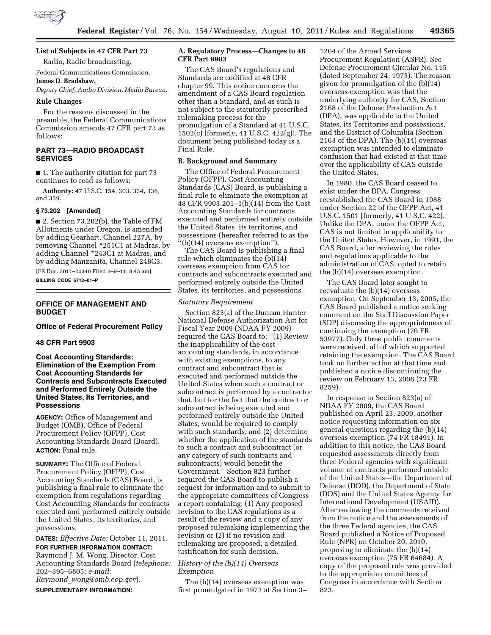

# **List of Subjects in 47 CFR Part 73**

Radio, Radio broadcasting.

Federal Communications Commission.

# **James D. Bradshaw,**

*Deputy Chief, Audio Division, Media Bureau.* 

## **Rule Changes**

For the reasons discussed in the preamble, the Federal Communications Commission amends 47 CFR part 73 as follows:

## **PART 73—RADIO BROADCAST SERVICES**

■ 1. The authority citation for part 73 continues to read as follows:

**Authority:** 47 U.S.C. 154, 303, 334, 336, and 339.

## **§ 73.202 [Amended]**

■ 2. Section 73.202(b), the Table of FM Allotments under Oregon, is amended by adding Gearhart, Channel 227A, by removing Channel \*251C1 at Madras, by adding Channel \*243C1 at Madras, and by adding Manzanita, Channel 248C3.

[FR Doc. 2011–20340 Filed 8–9–11; 8:45 am] **BILLING CODE 6712–01–P** 

## **OFFICE OF MANAGEMENT AND BUDGET**

**Office of Federal Procurement Policy** 

#### **48 CFR Part 9903**

**Cost Accounting Standards: Elimination of the Exemption From Cost Accounting Standards for Contracts and Subcontracts Executed and Performed Entirely Outside the United States, Its Territories, and Possessions** 

**AGENCY:** Office of Management and Budget (OMB), Office of Federal Procurement Policy (OFPP), Cost Accounting Standards Board (Board). **ACTION:** Final rule.

**SUMMARY:** The Office of Federal Procurement Policy (OFPP), Cost Accounting Standards (CAS) Board, is publishing a final rule to eliminate the exemption from regulations regarding Cost Accounting Standards for contracts executed and performed entirely outside the United States, its territories, and possessions.

**DATES:** *Effective Date:* October 11, 2011. **FOR FURTHER INFORMATION CONTACT:**  Raymond J. M. Wong, Director, Cost Accounting Standards Board (*telephone:*  202–395–6805; *e-mail:* 

*Raymond*\_*wong@omb.eop.gov*).

**SUPPLEMENTARY INFORMATION:** 

#### **A. Regulatory Process—Changes to 48 CFR Part 9903**

The CAS Board's regulations and Standards are codified at 48 CFR chapter 99. This notice concerns the amendment of a CAS Board regulation other than a Standard, and as such is not subject to the statutorily prescribed rulemaking process for the promulgation of a Standard at 41 U.S.C. 1502(c) [formerly, 41 U.S.C. 422(g)]. The document being published today is a Final Rule.

#### **B. Background and Summary**

The Office of Federal Procurement Policy (OFPP), Cost Accounting Standards (CAS) Board, is publishing a final rule to eliminate the exemption at 48 CFR 9903.201–1(b)(14) from the Cost Accounting Standards for contracts executed and performed entirely outside the United States, its territories, and possessions (hereafter referred to as the ''(b)(14) overseas exemption'').

The CAS Board is publishing a final rule which eliminates the (b)(14) overseas exemption from CAS for contracts and subcontracts executed and performed entirely outside the United States, its territories, and possessions.

#### *Statutory Requirement*

Section 823(a) of the Duncan Hunter National Defense Authorization Act for Fiscal Year 2009 (NDAA FY 2009) required the CAS Board to: ''(1) Review the inapplicability of the cost accounting standards, in accordance with existing exemptions, to any contract and subcontract that is executed and performed outside the United States when such a contract or subcontract is performed by a contractor that, but for the fact that the contract or subcontract is being executed and performed entirely outside the United States, would be required to comply with such standards; and (2) determine whether the application of the standards to such a contract and subcontract (or any category of such contracts and subcontracts) would benefit the Government.'' Section 823 further required the CAS Board to publish a request for information and to submit to the appropriate committees of Congress a report containing: (1) Any proposed revision to the CAS regulations as a result of the review and a copy of any proposed rulemaking implementing the revision or (2) if no revision and rulemaking are proposed, a detailed justification for such decision.

#### *History of the (b)(14) Overseas Exemption*

The (b)(14) overseas exemption was first promulgated in 1973 at Section 3–

1204 of the Armed Services Procurement Regulation (ASPR). See Defense Procurement Circular No. 115 (dated September 24, 1973). The reason given for promulgation of the (b)(14) overseas exemption was that the underlying authority for CAS, Section 2168 of the Defense Production Act (DPA), was applicable to the United States, its Territories and possessions, and the District of Columbia (Section 2163 of the DPA). The (b)(14) overseas exemption was intended to eliminate confusion that had existed at that time over the applicability of CAS outside the United States.

In 1980, the CAS Board ceased to exist under the DPA. Congress reestablished the CAS Board in 1988 under Section 22 of the OFPP Act, 41 U.S.C. 1501 [formerly, 41 U.S.C. 422]. Unlike the DPA, under the OFPP Act, CAS is not limited in applicability to the United States. However, in 1991, the CAS Board, after reviewing the rules and regulations applicable to the administration of CAS, opted to retain the (b)(14) overseas exemption.

The CAS Board later sought to reevaluate the (b)(14) overseas exemption. On September 13, 2005, the CAS Board published a notice seeking comment on the Staff Discussion Paper (SDP) discussing the appropriateness of continuing the exemption (70 FR 53977). Only three public comments were received, all of which supported retaining the exemption. The CAS Board took no further action at that time and published a notice discontinuing the review on February 13, 2008 (73 FR 8259).

In response to Section 823(a) of NDAA FY 2009, the CAS Board published on April 23, 2009, another notice requesting information on six general questions regarding the (b)(14) overseas exemption (74 FR 18491). In addition to this notice, the CAS Board requested assessments directly from three Federal agencies with significant volume of contracts performed outside of the United States—the Department of Defense (DOD), the Department of State (DOS) and the United States Agency for International Development (USAID). After reviewing the comments received from the notice and the assessments of the three Federal agencies, the CAS Board published a Notice of Proposed Rule (NPR) on October 20, 2010, proposing to eliminate the (b)(14) overseas exemption (75 FR 64684). A copy of the proposed rule was provided to the appropriate committees of Congress in accordance with Section 823.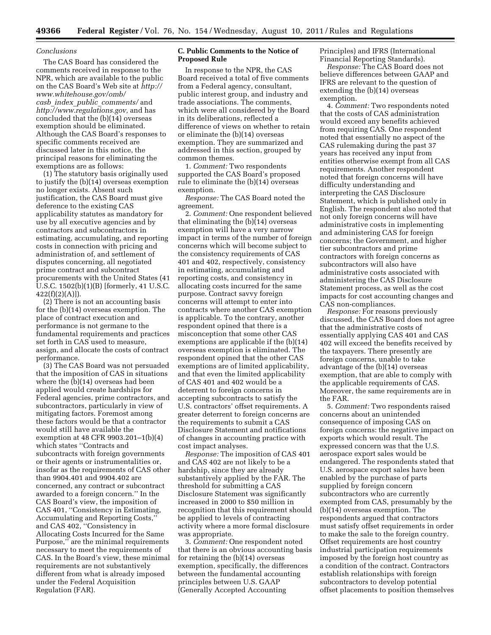#### *Conclusions*

The CAS Board has considered the comments received in response to the NPR, which are available to the public on the CAS Board's Web site at *http:// www.whitehouse.gov/omb/ casb*\_*index*\_*public*\_*comments/* and *http://www.regulations.gov,* and has concluded that the (b)(14) overseas exemption should be eliminated. Although the CAS Board's responses to specific comments received are discussed later in this notice, the principal reasons for eliminating the exemptions are as follows:

(1) The statutory basis originally used to justify the (b)(14) overseas exemption no longer exists. Absent such justification, the CAS Board must give deference to the existing CAS applicability statutes as mandatory for use by all executive agencies and by contractors and subcontractors in estimating, accumulating, and reporting costs in connection with pricing and administration of, and settlement of disputes concerning, all negotiated prime contract and subcontract procurements with the United States (41 U.S.C. 1502(b)(1)(B) [formerly, 41 U.S.C.  $422(f)(2)(A)]$ .

(2) There is not an accounting basis for the (b)(14) overseas exemption. The place of contract execution and performance is not germane to the fundamental requirements and practices set forth in CAS used to measure, assign, and allocate the costs of contract performance.

(3) The CAS Board was not persuaded that the imposition of CAS in situations where the (b)(14) overseas had been applied would create hardships for Federal agencies, prime contractors, and subcontractors, particularly in view of mitigating factors. Foremost among these factors would be that a contractor would still have available the exemption at 48 CFR 9903.201–1(b)(4) which states ''Contracts and subcontracts with foreign governments or their agents or instrumentalities or, insofar as the requirements of CAS other than 9904.401 and 9904.402 are concerned, any contract or subcontract awarded to a foreign concern.'' In the CAS Board's view, the imposition of CAS 401, ''Consistency in Estimating, Accumulating and Reporting Costs,'' and CAS 402, ''Consistency in Allocating Costs Incurred for the Same Purpose,'' are the minimal requirements necessary to meet the requirements of CAS. In the Board's view, these minimal requirements are not substantively different from what is already imposed under the Federal Acquisition Regulation (FAR).

#### **C. Public Comments to the Notice of Proposed Rule**

In response to the NPR, the CAS Board received a total of five comments from a Federal agency, consultant, public interest group, and industry and trade associations. The comments, which were all considered by the Board in its deliberations, reflected a difference of views on whether to retain or eliminate the (b)(14) overseas exemption. They are summarized and addressed in this section, grouped by common themes.

1. *Comment:* Two respondents supported the CAS Board's proposed rule to eliminate the (b)(14) overseas exemption.

*Response:* The CAS Board noted the agreement.

2. *Comment:* One respondent believed that eliminating the (b)(14) overseas exemption will have a very narrow impact in terms of the number of foreign concerns which will become subject to the consistency requirements of CAS 401 and 402, respectively, consistency in estimating, accumulating and reporting costs, and consistency in allocating costs incurred for the same purpose. Contract savvy foreign concerns will attempt to enter into contracts where another CAS exemption is applicable. To the contrary, another respondent opined that there is a misconception that some other CAS exemptions are applicable if the (b)(14) overseas exemption is eliminated. The respondent opined that the other CAS exemptions are of limited applicability, and that even the limited applicability of CAS 401 and 402 would be a deterrent to foreign concerns in accepting subcontracts to satisfy the U.S. contractors' offset requirements. A greater deterrent to foreign concerns are the requirements to submit a CAS Disclosure Statement and notifications of changes in accounting practice with cost impact analyses.

*Response:* The imposition of CAS 401 and CAS 402 are not likely to be a hardship, since they are already substantively applied by the FAR. The threshold for submitting a CAS Disclosure Statement was significantly increased in 2000 to \$50 million in recognition that this requirement should be applied to levels of contracting activity where a more formal disclosure was appropriate.

3. *Comment:* One respondent noted that there is an obvious accounting basis for retaining the (b)(14) overseas exemption, specifically, the differences between the fundamental accounting principles between U.S. GAAP (Generally Accepted Accounting

Principles) and IFRS (International Financial Reporting Standards).

*Response:* The CAS Board does not believe differences between GAAP and IFRS are relevant to the question of extending the (b)(14) overseas exemption.

4. *Comment:* Two respondents noted that the costs of CAS administration would exceed any benefits achieved from requiring CAS. One respondent noted that essentially no aspect of the CAS rulemaking during the past 37 years has received any input from entities otherwise exempt from all CAS requirements. Another respondent noted that foreign concerns will have difficulty understanding and interpreting the CAS Disclosure Statement, which is published only in English. The respondent also noted that not only foreign concerns will have administrative costs in implementing and administering CAS for foreign concerns; the Government, and higher tier subcontractors and prime contractors with foreign concerns as subcontractors will also have administrative costs associated with administering the CAS Disclosure Statement process, as well as the cost impacts for cost accounting changes and CAS non-compliances.

*Response:* For reasons previously discussed, the CAS Board does not agree that the administrative costs of essentially applying CAS 401 and CAS 402 will exceed the benefits received by the taxpayers. There presently are foreign concerns, unable to take advantage of the (b)(14) overseas exemption, that are able to comply with the applicable requirements of CAS. Moreover, the same requirements are in the FAR.

5. *Comment:* Two respondents raised concerns about an unintended consequence of imposing CAS on foreign concerns: the negative impact on exports which would result. The expressed concern was that the U.S. aerospace export sales would be endangered. The respondents stated that U.S. aerospace export sales have been enabled by the purchase of parts supplied by foreign concern subcontractors who are currently exempted from CAS, presumably by the (b)(14) overseas exemption. The respondents argued that contractors must satisfy offset requirements in order to make the sale to the foreign country. Offset requirements are host country industrial participation requirements imposed by the foreign host country as a condition of the contract. Contractors establish relationships with foreign subcontractors to develop potential offset placements to position themselves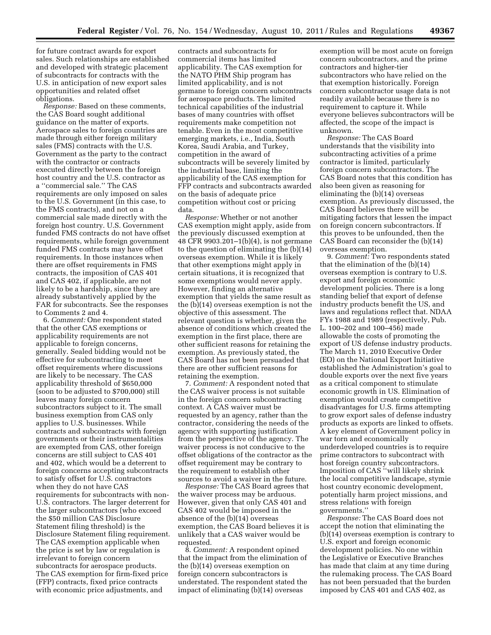for future contract awards for export sales. Such relationships are established and developed with strategic placement of subcontracts for contracts with the U.S. in anticipation of new export sales opportunities and related offset obligations.

*Response:* Based on these comments, the CAS Board sought additional guidance on the matter of exports. Aerospace sales to foreign countries are made through either foreign military sales (FMS) contracts with the U.S. Government as the party to the contract with the contractor or contracts executed directly between the foreign host country and the U.S. contractor as a ''commercial sale.'' The CAS requirements are only imposed on sales to the U.S. Government (in this case, to the FMS contracts), and not on a commercial sale made directly with the foreign host country. U.S. Government funded FMS contracts do not have offset requirements, while foreign government funded FMS contracts may have offset requirements. In those instances when there are offset requirements in FMS contracts, the imposition of CAS 401 and CAS 402, if applicable, are not likely to be a hardship, since they are already substantively applied by the FAR for subcontracts. See the responses to Comments 2 and 4.

6. *Comment:* One respondent stated that the other CAS exemptions or applicability requirements are not applicable to foreign concerns, generally. Sealed bidding would not be effective for subcontracting to meet offset requirements where discussions are likely to be necessary. The CAS applicability threshold of \$650,000 (soon to be adjusted to \$700,000) still leaves many foreign concern subcontractors subject to it. The small business exemption from CAS only applies to U.S. businesses. While contracts and subcontracts with foreign governments or their instrumentalities are exempted from CAS, other foreign concerns are still subject to CAS 401 and 402, which would be a deterrent to foreign concerns accepting subcontracts to satisfy offset for U.S. contractors when they do not have CAS requirements for subcontracts with non-U.S. contractors. The larger deterrent for the larger subcontractors (who exceed the \$50 million CAS Disclosure Statement filing threshold) is the Disclosure Statement filing requirement. The CAS exemption applicable when the price is set by law or regulation is irrelevant to foreign concern subcontracts for aerospace products. The CAS exemption for firm-fixed price (FFP) contracts, fixed price contracts with economic price adjustments, and

contracts and subcontracts for commercial items has limited applicability. The CAS exemption for the NATO PHM Ship program has limited applicability, and is not germane to foreign concern subcontracts for aerospace products. The limited technical capabilities of the industrial bases of many countries with offset requirements make competition not tenable. Even in the most competitive emerging markets, i.e., India, South Korea, Saudi Arabia, and Turkey, competition in the award of subcontracts will be severely limited by the industrial base, limiting the applicability of the CAS exemption for FFP contracts and subcontracts awarded on the basis of adequate price competition without cost or pricing data.

*Response:* Whether or not another CAS exemption might apply, aside from the previously discussed exemption at 48 CFR 9903.201–1(b)(4), is not germane to the question of eliminating the (b)(14) overseas exemption. While it is likely that other exemptions might apply in certain situations, it is recognized that some exemptions would never apply. However, finding an alternative exemption that yields the same result as the (b)(14) overseas exemption is not the objective of this assessment. The relevant question is whether, given the absence of conditions which created the exemption in the first place, there are other sufficient reasons for retaining the exemption. As previously stated, the CAS Board has not been persuaded that there are other sufficient reasons for retaining the exemption.

7. *Comment:* A respondent noted that the CAS waiver process is not suitable in the foreign concern subcontracting context. A CAS waiver must be requested by an agency, rather than the contractor, considering the needs of the agency with supporting justification from the perspective of the agency. The waiver process is not conducive to the offset obligations of the contractor as the offset requirement may be contrary to the requirement to establish other sources to avoid a waiver in the future.

*Response:* The CAS Board agrees that the waiver process may be arduous. However, given that only CAS 401 and CAS 402 would be imposed in the absence of the (b)(14) overseas exemption, the CAS Board believes it is unlikely that a CAS waiver would be requested.

8. *Comment:* A respondent opined that the impact from the elimination of the (b)(14) overseas exemption on foreign concern subcontractors is understated. The respondent stated the impact of eliminating (b)(14) overseas

exemption will be most acute on foreign concern subcontractors, and the prime contractors and higher-tier subcontractors who have relied on the that exemption historically. Foreign concern subcontractor usage data is not readily available because there is no requirement to capture it. While everyone believes subcontractors will be affected, the scope of the impact is unknown.

*Response:* The CAS Board understands that the visibility into subcontracting activities of a prime contractor is limited, particularly foreign concern subcontractors. The CAS Board notes that this condition has also been given as reasoning for eliminating the (b)(14) overseas exemption. As previously discussed, the CAS Board believes there will be mitigating factors that lessen the impact on foreign concern subcontractors. If this proves to be unfounded, then the CAS Board can reconsider the (b)(14) overseas exemption.

9. *Comment:* Two respondents stated that the elimination of the (b)(14) overseas exemption is contrary to U.S. export and foreign economic development policies. There is a long standing belief that export of defense industry products benefit the US, and laws and regulations reflect that. NDAA FYs 1988 and 1989 (respectively, Pub. L. 100–202 and 100–456) made allowable the costs of promoting the export of US defense industry products. The March 11, 2010 Executive Order (EO) on the National Export Initiative established the Administration's goal to double exports over the next five years as a critical component to stimulate economic growth in US. Elimination of exemption would create competitive disadvantages for U.S. firms attempting to grow export sales of defense industry products as exports are linked to offsets. A key element of Government policy in war torn and economically underdeveloped countries is to require prime contractors to subcontract with host foreign country subcontractors. Imposition of CAS ''will likely shrink the local competitive landscape, stymie host country economic development, potentially harm project missions, and stress relations with foreign governments.''

*Response:* The CAS Board does not accept the notion that eliminating the (b)(14) overseas exemption is contrary to U.S. export and foreign economic development policies. No one within the Legislative or Executive Branches has made that claim at any time during the rulemaking process. The CAS Board has not been persuaded that the burden imposed by CAS 401 and CAS 402, as